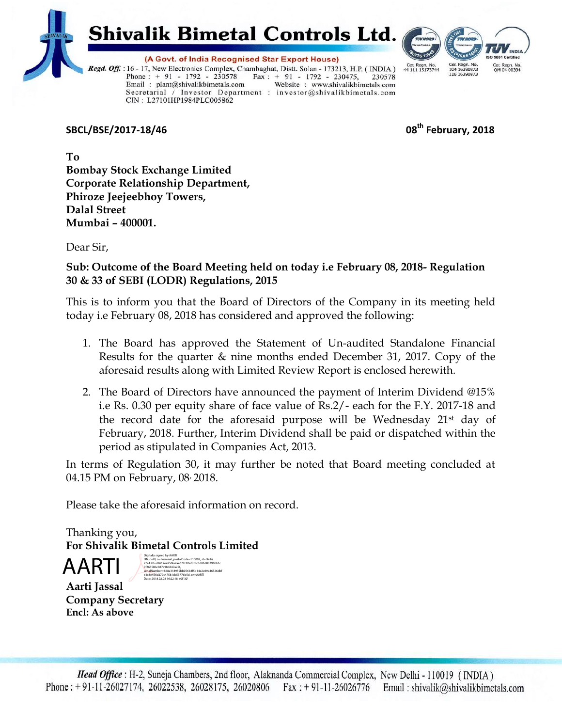

**Shivalik Bimetal Controls Ltd.** 



(A Govt. of India Recognised Star Export House) Regd. Off. : 16 - 17, New Electronics Complex, Chambaghat, Distt. Solan - 173213, H.P. (INDIA) Phone : + 91 - 1792 - 230578 Fax : + 91 - 1792 - 230475, 230578<br>Email : plant@shivalikbimetals.com Website : www.shivalikbimetals.com Secretarial / Investor Department : investor@shivalikbimetals.com CIN: L27101HP1984PLC005862

**SBCL/BSE/2017-18/46 08th February, 2018**

**To Bombay Stock Exchange Limited Corporate Relationship Department, Phiroze Jeejeebhoy Towers, Dalal Street Mumbai – 400001.**

Dear Sir,

## **Sub: Outcome of the Board Meeting held on today i.e February 08, 2018- Regulation 30 & 33 of SEBI (LODR) Regulations, 2015**

This is to inform you that the Board of Directors of the Company in its meeting held today i.e February 08, 2018 has considered and approved the following:

- 1. The Board has approved the Statement of Un-audited Standalone Financial Results for the quarter & nine months ended December 31, 2017. Copy of the aforesaid results along with Limited Review Report is enclosed herewith.
- 2. The Board of Directors have announced the payment of Interim Dividend @15% i.e Rs. 0.30 per equity share of face value of Rs.2/- each for the F.Y. 2017-18 and the record date for the aforesaid purpose will be Wednesday 21st day of February, 2018. Further, Interim Dividend shall be paid or dispatched within the period as stipulated in Companies Act, 2013.

In terms of Regulation 30, it may further be noted that Board meeting concluded at 04.15 PM on February, 08, 2018.

Please take the aforesaid information on record.

Thanking you, **For Shivalik Bimetal Controls Limited** 

AARI

DN: c=IN, o=Personal, postalCode=110092, st=Delhi, 2.5.4.20=d9612ee956fa2ae672c07efdbfc3d81d883906b1c 9f26358bc887a98dd47a27f,<br>serialNumber=1d8a318959bb056b4f5d14e2e69e46526dbf<br>61c3e456d279c47581dc53776b5d, cn=AARTI<br>Date: 2018.02.08 16:22:18 +05'30'

**Aarti Jassal Company Secretary Encl: As above**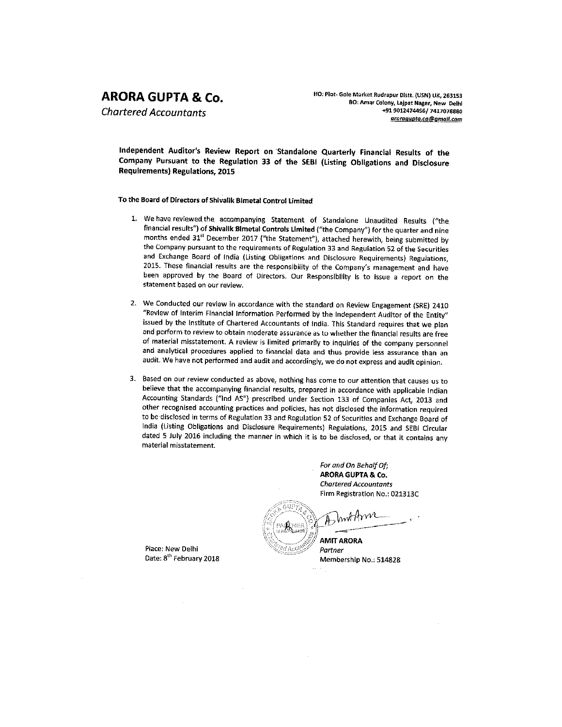# **ARORA GUPTA & Co.**

**Chartered Accountants** 

HO: Plot- Gole Market Rudrapur Distt. (USN) UK, 263153 BO: Amar Colony, Lajpat Nagar, New Delhl +91 9012474456/ 7417078880 aroragupta.ca@gmail.com

Independent Auditor's Review Report on Standalone Quarterly Financial Results of the Company Pursuant to the Regulation 33 of the SEBI (Listing Obligations and Disclosure **Requirements) Regulations, 2015** 

## To the Board of Directors of Shivalik Bimetal Control Limited

- 1. We have reviewed the accompanying Statement of Standalone Unaudited Results ("the financial results") of Shivalik Bimetal Controls Limited ("the Company") for the quarter and nine months ended 31st December 2017 ("the Statement"), attached herewith, being submitted by the Company pursuant to the requirements of Regulation 33 and Regulation 52 of the Securities and Exchange Board of India (Listing Obligations and Disclosure Requirements) Regulations, 2015. These financial results are the responsibility of the Company's management and have been approved by the Board of Directors. Our Responsibility is to issue a report on the statement based on our review.
- 2. We Conducted our review in accordance with the standard on Review Engagement (SRE) 2410 "Review of Interim Financial Information Performed by the Independent Auditor of the Entity" issued by the Institute of Chartered Accountants of India. This Standard requires that we plan and perform to review to obtain moderate assurance as to whether the financial results are free of material misstatement. A review is limited primarily to inquiries of the company personnel and analytical procedures applied to financial data and thus provide less assurance than an audit. We have not performed and audit and accordingly, we do not express and audit opinion.
- 3. Based on our review conducted as above, nothing has come to our attention that causes us to believe that the accompanying financial results, prepared in accordance with applicable Indian Accounting Standards ("Ind AS") prescribed under Section 133 of Companies Act, 2013 and other recognised accounting practices and policies, has not disclosed the information required to be disclosed in terms of Regulation 33 and Regulation 52 of Securities and Exchange Board of India (Listing Obligations and Disclosure Requirements) Regulations, 2015 and SEBI Circular dated 5 July 2016 including the manner in which it is to be disclosed, or that it contains any material misstatement.

For and On Behalf Of; ARORA GUPTA & Co. **Chartered Accountants** Firm Registration No.: 021313C

AMIT ARORA

Partner Membership No.: 514828

Place: New Delhi Date: 8<sup>th</sup> February 2018.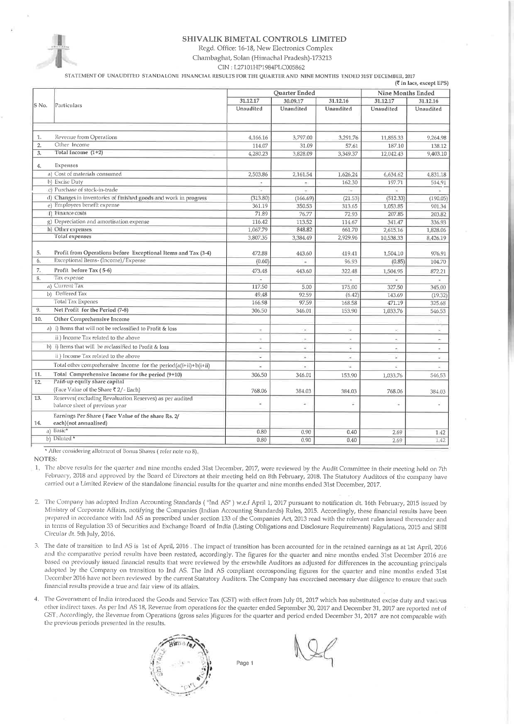

### SHIVALIK BIMETAL CONTROLS LIMITED

Regd. Office: 16-18, New Electronics Complex

Chambaghat, Solan (Himachal Pradesh)-173213

CIN: L27101HP1984PLC005862

STATEMENT OF UNAUDITED STANDALONE FINANCIAL RESULTS FOR THE QUARTER AND NINE MONTHS ENDED 31ST DECEMBER, 2017 (₹ in lacs, excent EPS)

|                | Particulars                                                                               | Quarter Ended            |                          |                          | <b>Nine Months Ended</b> |                          |
|----------------|-------------------------------------------------------------------------------------------|--------------------------|--------------------------|--------------------------|--------------------------|--------------------------|
|                |                                                                                           | 31.12.17                 | 30.09.17                 | 31.12.16                 | 31.12.17                 | 31.12.16                 |
| S No.          |                                                                                           | Unaudited                | Unaudited                | Unaudited                | Unaudited                | Unaudited                |
|                |                                                                                           |                          |                          |                          |                          |                          |
| 1.             | Revenue from Operations                                                                   | 4,166.16                 | 3,797.00                 | 3,291.76                 | 11,855.33                | 9,264.98                 |
| $\overline{2}$ | Other Income                                                                              | 114.07                   | 31,09                    | 57.61                    | 187.10                   | 138.12                   |
| 3.             | Total Income (1+2)                                                                        | 4,280.23                 | 3,828.09                 | 3,349.37                 | 12,042.43                | 9,403.10                 |
| 4.             | Expenses                                                                                  |                          |                          |                          |                          |                          |
|                | a) Cost of materials consumed                                                             | 2,503.86                 | 2,161.54                 | 1,626.24                 | 6,634.62                 | 4,831.18                 |
|                | b) Excise Duty                                                                            |                          | e.                       | 162.30                   | 197.71                   | 514.91                   |
|                | c) Purchase of stock-in-trade                                                             |                          |                          |                          |                          |                          |
|                | d) Changes in inventories of finished goods and work in progress                          | (313.80)                 | (166.69)                 | (21.53)                  | (512.33)                 | (190.05)                 |
|                | e) Employees benefit expense                                                              | 361.19                   | 350.53                   | 313.65                   | 1,053.85                 | 901.34                   |
|                | f) Finance costs                                                                          | 71.89                    | 76,77                    | 72.93                    | 207.85                   | 203,82                   |
|                | g) Depreciation and amortisation expense                                                  | 116.42                   | 113.52                   | 114,67                   | 341.47                   | 336.93                   |
|                | h) Other expenses<br>Total expenses                                                       | 1,067.79                 | 848.82                   | 661.70                   | 2,615.16                 | 1,828.06                 |
|                |                                                                                           | 3,807.35                 | 3,384.49                 | 2,929.96                 | 10,538.33                | 8,426.19                 |
| 5.             | Profit from Operations before Exceptional Items and Tax (3-4)                             | 472.88                   | 443.60                   | 419,41                   | 1,504.10                 | 976.91                   |
| 6.             | Exceptional Items- (Income)/Expense                                                       | (0.60)                   | ÷                        | 96.93                    | (0.85)                   | 104.70                   |
| 7.             | Profit before Tax (5-6)                                                                   | 473.48                   | 443.60                   | 322,48                   | 1,504.95                 | 872,21                   |
| 8.             | Tax expense                                                                               |                          |                          |                          |                          | $\overline{\phantom{a}}$ |
|                | a) Current Tax                                                                            | 117.50                   | 5.00                     | 175.00                   | 327.50                   | 345.00                   |
|                | b) Deffered Tax                                                                           | 49.48                    | 92.59                    | (6.42)                   | 143.69                   | (19.32)                  |
|                | <b>Total Tax Expenes</b>                                                                  | 166.98                   | 97.59                    | 168.58                   | 471.19                   | 325.68                   |
| 9.             | Net Profit for the Period (7-8)                                                           | 306.50                   | 346.01                   | 153.90                   | 1,033.76                 | 546.53                   |
| 10.            | Other Comprehensive Income                                                                |                          |                          |                          |                          |                          |
|                | a) i) Items that will not be reclassified to Profit & loss                                | ×                        | $\overline{\phantom{a}}$ | ¥                        | $\overline{\phantom{a}}$ | ¥.                       |
|                | ii) Income Tax related to the above                                                       | $\overline{\phantom{a}}$ | ۰                        | $\overline{\phantom{a}}$ | ×.                       | $\sim$                   |
|                | b) i) Items that will be reclassified to Profit & loss                                    | Ξ                        | $\overline{a}$           | ÷                        | ÷.                       | $\overline{\phantom{a}}$ |
|                | ii) Income Tax related to the above                                                       | ψ                        | š                        | ×                        | u,                       | Ψ                        |
|                | Total other comprehensive Income for the period(a(i+ii)+b(i+ii)                           | u,                       | $\bar{a}$                | ż                        | ¥,                       | $\overline{\phantom{a}}$ |
| 11.            | Total Comprehensive Income for the period (9+10)                                          | 306.50                   | 346.01                   | 153.90                   | 1,033.76                 | 546.53                   |
| 12.            | Paid-up equity share capital                                                              |                          |                          |                          |                          |                          |
|                | (Face Value of the Share ₹ 2/- Each)                                                      | 768.06                   | 384.03                   | 384.03                   | 768.06                   | 384.03                   |
| 13.            | Reserves(excluding Revaluation Reserves) as per audited<br>balance sheet of previous year | ÷                        | ÷                        | Φ                        | ÷                        |                          |
| 14.            | Earnings Per Share (Face Value of the share Rs. 2/<br>each)(not annualised)               |                          |                          |                          |                          |                          |
|                | a) Basic*                                                                                 | 0.80                     | 0.90                     | 0.40                     | 2.69                     | 1.42                     |
|                | b) Diluted *                                                                              | 0.80                     | 0.90                     | 0.40                     | 2.69                     | 1.42                     |

\* After considering allotment of Bonus Shares (refer note no 8).

**NOTES:** 

1. The above results for the quarter and nine months ended 31st December, 2017, were reviewed by the Audit Committee in their meeting held on 7th February, 2018 and approved by the Board of Directors at their meeting held on 8th February, 2018. The Statutory Auditors of the company have carried out a Limited Review of the standalone financial results for the quarter and nine months ended 31st December, 2017.

- 2. The Company has adopted Indian Accounting Standards ("Ind AS") w.e.f April 1, 2017 pursuant to notification dt. 16th February, 2015 issued by Ministry of Corporate Affairs, notifying the Companies (Indian Accounting Standards) Rules, 2015. Accordingly, these financial results have been prepared in accordance with Ind AS as prescribed under section 133 of the Companies Act, 2013 read with the relevant rules issued thereunder and in terms of Regulation 33 of Securities and Exchange Board of India (Listing Obligations and Disclosure Requirements) Regulations, 2015 and SEBI Circular dt. 5th July, 2016.
- 3. The date of transition to Ind AS is 1st of April, 2016. The impact of transition has been accounted for in the retained earnings as at 1st April, 2016 and the comparative period results have been restated, accordingly. The figures for the quarter and nine months ended 31st December 2016 are based on previously issued financial results that were reviewed by the erstwhile Auditors as adjusted for differences in the accounting principals adopted by the Company on transition to Ind AS. The Ind AS compliant corrosponding figures for the quarter and nine months ended 31st December 2016 have not been reviewed by the current Statutory Auditors. The Company has excercised necessary due diligence to ensure that such financial results provide a true and fair view of its affairs.
- The Government of India introduced the Goods and Service Tax (CST) with effect from July 01, 2017 which has substituted excise duty and various  $\overline{4}$ other indirect taxes. As per Ind AS 18, Revenue from operations for the quarter ended September 30, 2017 and December 31, 2017 are reported net of GST. Accordingly, the Revenue from Operations (gross sales )figures for the quarter and period ended December 31, 2017 are not comparable with the previous periods presented in the results.

Page 1